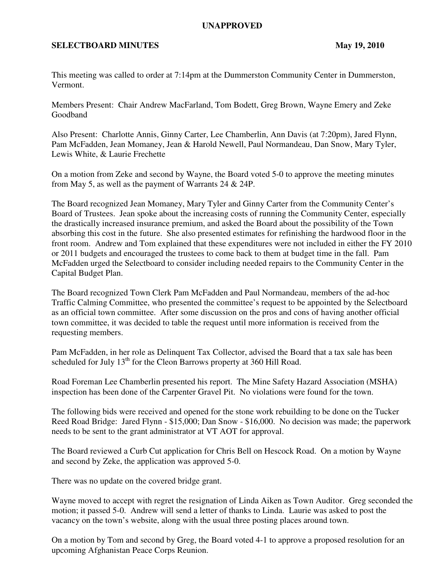## **UNAPPROVED**

## **SELECTBOARD MINUTES** May 19, 2010

This meeting was called to order at 7:14pm at the Dummerston Community Center in Dummerston, Vermont.

Members Present: Chair Andrew MacFarland, Tom Bodett, Greg Brown, Wayne Emery and Zeke Goodband

Also Present: Charlotte Annis, Ginny Carter, Lee Chamberlin, Ann Davis (at 7:20pm), Jared Flynn, Pam McFadden, Jean Momaney, Jean & Harold Newell, Paul Normandeau, Dan Snow, Mary Tyler, Lewis White, & Laurie Frechette

On a motion from Zeke and second by Wayne, the Board voted 5-0 to approve the meeting minutes from May 5, as well as the payment of Warrants 24 & 24P.

The Board recognized Jean Momaney, Mary Tyler and Ginny Carter from the Community Center's Board of Trustees. Jean spoke about the increasing costs of running the Community Center, especially the drastically increased insurance premium, and asked the Board about the possibility of the Town absorbing this cost in the future. She also presented estimates for refinishing the hardwood floor in the front room. Andrew and Tom explained that these expenditures were not included in either the FY 2010 or 2011 budgets and encouraged the trustees to come back to them at budget time in the fall. Pam McFadden urged the Selectboard to consider including needed repairs to the Community Center in the Capital Budget Plan.

The Board recognized Town Clerk Pam McFadden and Paul Normandeau, members of the ad-hoc Traffic Calming Committee, who presented the committee's request to be appointed by the Selectboard as an official town committee. After some discussion on the pros and cons of having another official town committee, it was decided to table the request until more information is received from the requesting members.

Pam McFadden, in her role as Delinquent Tax Collector, advised the Board that a tax sale has been scheduled for July 13<sup>th</sup> for the Cleon Barrows property at 360 Hill Road.

Road Foreman Lee Chamberlin presented his report. The Mine Safety Hazard Association (MSHA) inspection has been done of the Carpenter Gravel Pit. No violations were found for the town.

The following bids were received and opened for the stone work rebuilding to be done on the Tucker Reed Road Bridge: Jared Flynn - \$15,000; Dan Snow - \$16,000. No decision was made; the paperwork needs to be sent to the grant administrator at VT AOT for approval.

The Board reviewed a Curb Cut application for Chris Bell on Hescock Road. On a motion by Wayne and second by Zeke, the application was approved 5-0.

There was no update on the covered bridge grant.

Wayne moved to accept with regret the resignation of Linda Aiken as Town Auditor. Greg seconded the motion; it passed 5-0. Andrew will send a letter of thanks to Linda. Laurie was asked to post the vacancy on the town's website, along with the usual three posting places around town.

On a motion by Tom and second by Greg, the Board voted 4-1 to approve a proposed resolution for an upcoming Afghanistan Peace Corps Reunion.